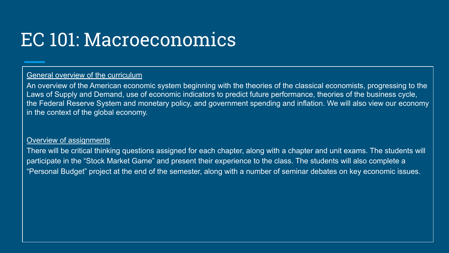# EC 101: Macroeconomics

# General overview of the curriculum

An overview of the American economic system beginning with the theories of the classical economists, progressing to the Laws of Supply and Demand, use of economic indicators to predict future performance, theories of the business cycle, the Federal Reserve System and monetary policy, and government spending and inflation. We will also view our economy in the context of the global economy.

## Overview of assignments

There will be critical thinking questions assigned for each chapter, along with a chapter and unit exams. The students will participate in the "Stock Market Game" and present their experience to the class. The students will also complete a "Personal Budget" project at the end of the semester, along with a number of seminar debates on key economic issues.